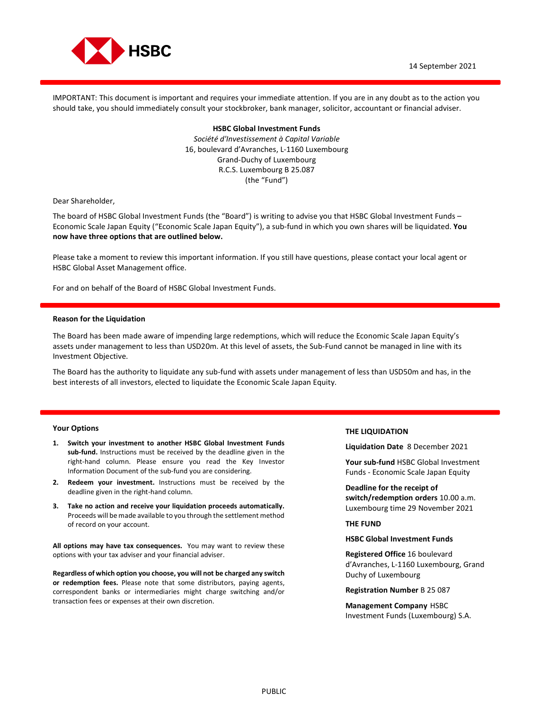

IMPORTANT: This document is important and requires your immediate attention. If you are in any doubt as to the action you should take, you should immediately consult your stockbroker, bank manager, solicitor, accountant or financial adviser.

> **HSBC Global Investment Funds**  *Société d'Investissement à Capital Variable*  16, boulevard d'Avranches, L-1160 Luxembourg Grand-Duchy of Luxembourg R.C.S. Luxembourg B 25.087 (the "Fund")

Dear Shareholder,

The board of HSBC Global Investment Funds (the "Board") is writing to advise you that HSBC Global Investment Funds – Economic Scale Japan Equity ("Economic Scale Japan Equity"), a sub-fund in which you own shares will be liquidated. **You now have three options that are outlined below.**

Please take a moment to review this important information. If you still have questions, please contact your local agent or HSBC Global Asset Management office.

For and on behalf of the Board of HSBC Global Investment Funds.

## **Reason for the Liquidation**

The Board has been made aware of impending large redemptions, which will reduce the Economic Scale Japan Equity's assets under management to less than USD20m. At this level of assets, the Sub-Fund cannot be managed in line with its Investment Objective.

The Board has the authority to liquidate any sub-fund with assets under management of less than USD50m and has, in the best interests of all investors, elected to liquidate the Economic Scale Japan Equity.

## **Your Options**

- **1. Switch your investment to another HSBC Global Investment Funds sub-fund.** Instructions must be received by the deadline given in the right-hand column. Please ensure you read the Key Investor Information Document of the sub-fund you are considering.
- **2. Redeem your investment.** Instructions must be received by the deadline given in the right-hand column.
- **3. Take no action and receive your liquidation proceeds automatically.**  Proceeds will be made available to you through the settlement method of record on your account.

**All options may have tax consequences.** You may want to review these options with your tax adviser and your financial adviser.

**Regardless of which option you choose, you will not be charged any switch or redemption fees.** Please note that some distributors, paying agents, correspondent banks or intermediaries might charge switching and/or transaction fees or expenses at their own discretion.

#### **THE LIQUIDATION**

**Liquidation Date** 8 December 2021

**Your sub-fund** HSBC Global Investment Funds - Economic Scale Japan Equity

**Deadline for the receipt of switch/redemption orders** 10.00 a.m. Luxembourg time 29 November 2021

#### **THE FUND**

#### **HSBC Global Investment Funds**

**Registered Office** 16 boulevard d'Avranches, L-1160 Luxembourg, Grand Duchy of Luxembourg

**Registration Number** B 25 087

**Management Company** HSBC Investment Funds (Luxembourg) S.A.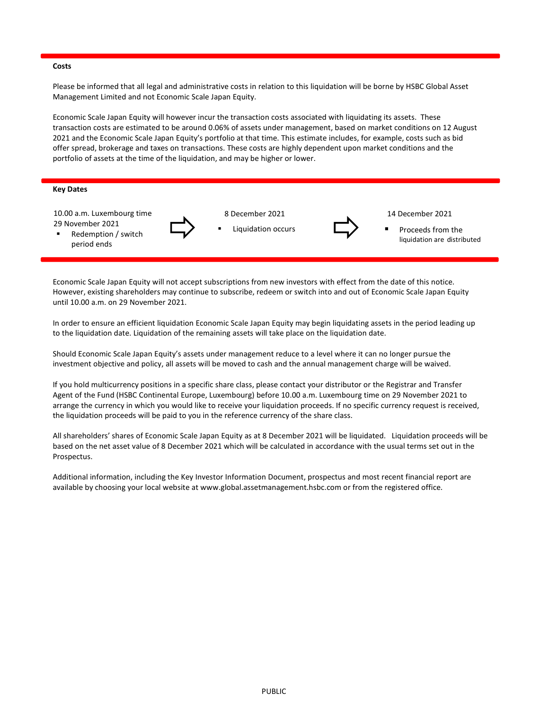## **Costs**

Please be informed that all legal and administrative costs in relation to this liquidation will be borne by HSBC Global Asset Management Limited and not Economic Scale Japan Equity.

Economic Scale Japan Equity will however incur the transaction costs associated with liquidating its assets. These transaction costs are estimated to be around 0.06% of assets under management, based on market conditions on 12 August 2021 and the Economic Scale Japan Equity's portfolio at that time. This estimate includes, for example, costs such as bid offer spread, brokerage and taxes on transactions. These costs are highly dependent upon market conditions and the portfolio of assets at the time of the liquidation, and may be higher or lower.

# **Key Dates**

10.00 a.m. Luxembourg time 29 November 2021



 8 December 2021 Liquidation occurs



14 December 2021

 Proceeds from the liquidation are distributed

period ends Redemption / switch

Economic Scale Japan Equity will not accept subscriptions from new investors with effect from the date of this notice. However, existing shareholders may continue to subscribe, redeem or switch into and out of Economic Scale Japan Equity until 10.00 a.m. on 29 November 2021.

In order to ensure an efficient liquidation Economic Scale Japan Equity may begin liquidating assets in the period leading up to the liquidation date. Liquidation of the remaining assets will take place on the liquidation date.

Should Economic Scale Japan Equity's assets under management reduce to a level where it can no longer pursue the investment objective and policy, all assets will be moved to cash and the annual management charge will be waived.

If you hold multicurrency positions in a specific share class, please contact your distributor or the Registrar and Transfer Agent of the Fund (HSBC Continental Europe, Luxembourg) before 10.00 a.m. Luxembourg time on 29 November 2021 to arrange the currency in which you would like to receive your liquidation proceeds. If no specific currency request is received, the liquidation proceeds will be paid to you in the reference currency of the share class.

All shareholders' shares of Economic Scale Japan Equity as at 8 December 2021 will be liquidated. Liquidation proceeds will be based on the net asset value of 8 December 2021 which will be calculated in accordance with the usual terms set out in the Prospectus.

Additional information, including the Key Investor Information Document, prospectus and most recent financial report are available by choosing your local website at www.global.assetmanagement.hsbc.com or from the registered office.